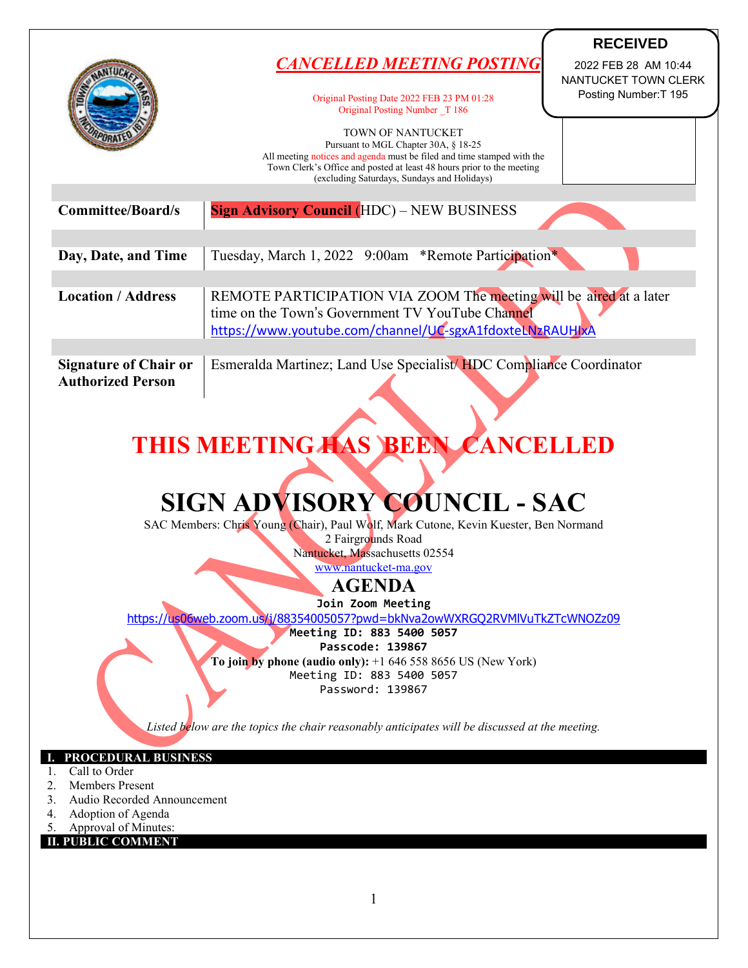|                                                                   |                                                                                                                | <b>RECEIVED</b>       |
|-------------------------------------------------------------------|----------------------------------------------------------------------------------------------------------------|-----------------------|
|                                                                   | CANCELLED MEETING POSTING                                                                                      | 2022 FEB 28 AM 10:44  |
|                                                                   |                                                                                                                | NANTUCKET TOWN CLERK  |
|                                                                   | Original Posting Date 2022 FEB 23 PM 01:28<br>Original Posting Number T 186                                    | Posting Number: T 195 |
|                                                                   | <b>TOWN OF NANTUCKET</b>                                                                                       |                       |
|                                                                   | Pursuant to MGL Chapter 30A, § 18-25<br>All meeting notices and agenda must be filed and time stamped with the |                       |
|                                                                   | Town Clerk's Office and posted at least 48 hours prior to the meeting                                          |                       |
|                                                                   | (excluding Saturdays, Sundays and Holidays)                                                                    |                       |
| <b>Committee/Board/s</b>                                          | <b>Sign Advisory Council (HDC) - NEW BUSINESS</b>                                                              |                       |
|                                                                   |                                                                                                                |                       |
| Day, Date, and Time                                               | Tuesday, March 1, 2022 9:00am *Remote Participation*                                                           |                       |
|                                                                   |                                                                                                                |                       |
| <b>Location / Address</b>                                         | REMOTE PARTICIPATION VIA ZOOM The meeting will be aired at a later                                             |                       |
|                                                                   | time on the Town's Government TV YouTube Channel                                                               |                       |
|                                                                   | https://www.youtube.com/channel/UC-sgxA1fdoxteLNzRAUHIxA                                                       |                       |
| <b>Signature of Chair or</b>                                      | Esmeralda Martinez; Land Use Specialist/HDC Compliance Coordinator                                             |                       |
| <b>Authorized Person</b>                                          |                                                                                                                |                       |
|                                                                   |                                                                                                                |                       |
|                                                                   |                                                                                                                |                       |
|                                                                   | THIS MEETING HAS BEEN CANCELLED                                                                                |                       |
|                                                                   |                                                                                                                |                       |
|                                                                   |                                                                                                                |                       |
|                                                                   | SIGN ADVISORY COUNCIL - SAC                                                                                    |                       |
|                                                                   | SAC Members: Chris Young (Chair), Paul Wolf, Mark Cutone, Kevin Kuester, Ben Normand                           |                       |
|                                                                   | 2 Fairgrounds Road                                                                                             |                       |
|                                                                   | Nantucket, Massachusetts 02554<br>www.nantucket-ma.gov                                                         |                       |
|                                                                   | <b>AGENDA</b>                                                                                                  |                       |
|                                                                   | Join Zoom Meeting                                                                                              |                       |
|                                                                   | https://us06web.zoom.us/i/88354005057?pwd=bkNva2owWXRGQ2RVMIVuTkZTcWNOZz09                                     |                       |
|                                                                   | Meeting ID: 883 5400 5057                                                                                      |                       |
|                                                                   | Passcode: 139867<br>To join by phone (audio only): $+16465588656$ US (New York)                                |                       |
|                                                                   | Meeting ID: 883 5400 5057                                                                                      |                       |
|                                                                   | Password: 139867                                                                                               |                       |
|                                                                   |                                                                                                                |                       |
|                                                                   | Listed below are the topics the chair reasonably anticipates will be discussed at the meeting.                 |                       |
| PROCEDURAL BUSINESS                                               |                                                                                                                |                       |
| Call to Order<br>1.                                               |                                                                                                                |                       |
| <b>Members Present</b><br>2.<br>Audio Recorded Announcement<br>3. |                                                                                                                |                       |
| Adoption of Agenda<br>4.                                          |                                                                                                                |                       |
| Approval of Minutes:<br>5.<br><b>II. PUBLIC COMMENT</b>           |                                                                                                                |                       |
|                                                                   |                                                                                                                |                       |
|                                                                   |                                                                                                                |                       |
|                                                                   |                                                                                                                |                       |